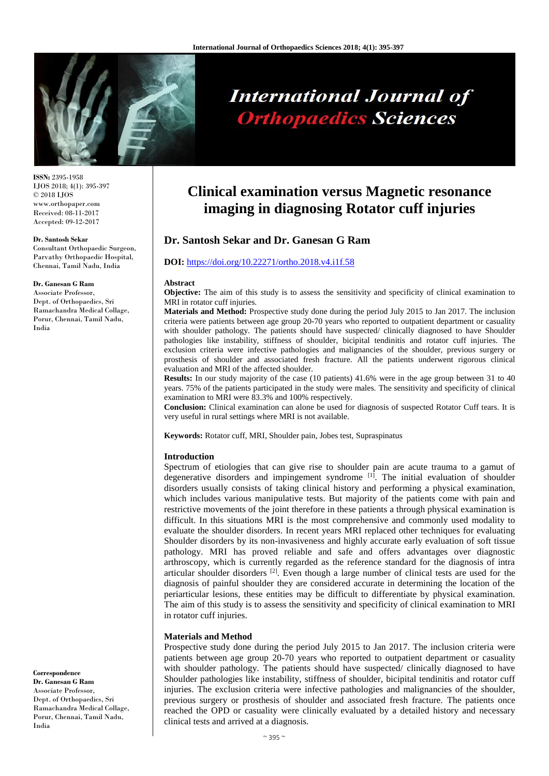

# **International Journal of Orthopaedics Sciences**

**ISSN:** 2395-1958 IJOS 2018; 4(1): 395-397 © 2018 IJOS www.orthopaper.com Received: 08-11-2017 Accepted: 09-12-2017

#### **Dr. Santosh Sekar**

Consultant Orthopaedic Surgeon, Parvathy Orthopaedic Hospital, Chennai, Tamil Nadu, India

#### **Dr. Ganesan G Ram**

Associate Professor, Dept. of Orthopaedics, Sri Ramachandra Medical Collage, Porur, Chennai, Tamil Nadu, India

**Correspondence**

**Dr. Ganesan G Ram** Associate Professor, Dept. of Orthopaedics, Sri Ramachandra Medical Collage, Porur, Chennai, Tamil Nadu, India

# **Clinical examination versus Magnetic resonance imaging in diagnosing Rotator cuff injuries**

# **Dr. Santosh Sekar and Dr. Ganesan G Ram**

### **DOI:** <https://doi.org/10.22271/ortho.2018.v4.i1f.58>

#### **Abstract**

**Objective:** The aim of this study is to assess the sensitivity and specificity of clinical examination to MRI in rotator cuff injuries.

**Materials and Method:** Prospective study done during the period July 2015 to Jan 2017. The inclusion criteria were patients between age group 20-70 years who reported to outpatient department or casuality with shoulder pathology. The patients should have suspected/ clinically diagnosed to have Shoulder pathologies like instability, stiffness of shoulder, bicipital tendinitis and rotator cuff injuries. The exclusion criteria were infective pathologies and malignancies of the shoulder, previous surgery or prosthesis of shoulder and associated fresh fracture. All the patients underwent rigorous clinical evaluation and MRI of the affected shoulder.

**Results:** In our study majority of the case (10 patients) 41.6% were in the age group between 31 to 40 years. 75% of the patients participated in the study were males. The sensitivity and specificity of clinical examination to MRI were 83.3% and 100% respectively.

**Conclusion:** Clinical examination can alone be used for diagnosis of suspected Rotator Cuff tears. It is very useful in rural settings where MRI is not available.

**Keywords:** Rotator cuff, MRI, Shoulder pain, Jobes test, Supraspinatus

#### **Introduction**

Spectrum of etiologies that can give rise to shoulder pain are acute trauma to a gamut of degenerative disorders and impingement syndrome<sup>[1]</sup>. The initial evaluation of shoulder disorders usually consists of taking clinical history and performing a physical examination, which includes various manipulative tests. But majority of the patients come with pain and restrictive movements of the joint therefore in these patients a through physical examination is difficult. In this situations MRI is the most comprehensive and commonly used modality to evaluate the shoulder disorders. In recent years MRI replaced other techniques for evaluating Shoulder disorders by its non-invasiveness and highly accurate early evaluation of soft tissue pathology. MRI has proved reliable and safe and offers advantages over diagnostic arthroscopy, which is currently regarded as the reference standard for the diagnosis of intra articular shoulder disorders  $[2]$ . Even though a large number of clinical tests are used for the diagnosis of painful shoulder they are considered accurate in determining the location of the periarticular lesions, these entities may be difficult to differentiate by physical examination. The aim of this study is to assess the sensitivity and specificity of clinical examination to MRI in rotator cuff injuries.

#### **Materials and Method**

Prospective study done during the period July 2015 to Jan 2017. The inclusion criteria were patients between age group 20-70 years who reported to outpatient department or casuality with shoulder pathology. The patients should have suspected/ clinically diagnosed to have Shoulder pathologies like instability, stiffness of shoulder, bicipital tendinitis and rotator cuff injuries. The exclusion criteria were infective pathologies and malignancies of the shoulder, previous surgery or prosthesis of shoulder and associated fresh fracture. The patients once reached the OPD or casuality were clinically evaluated by a detailed history and necessary clinical tests and arrived at a diagnosis.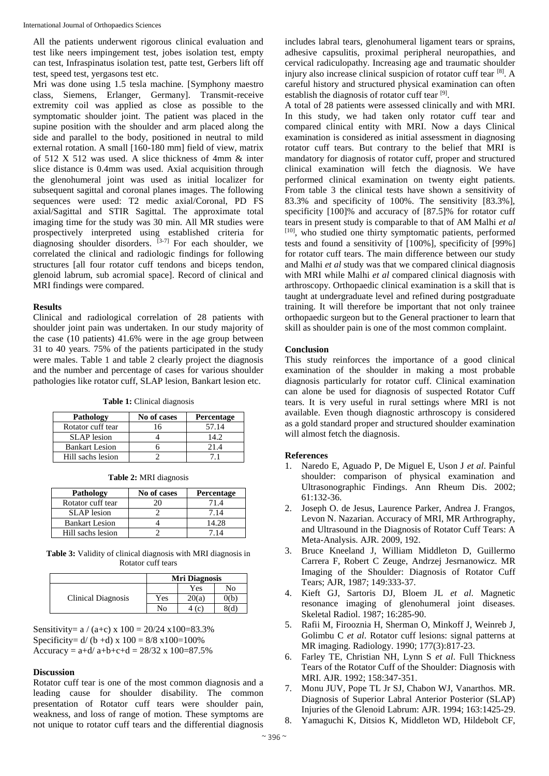All the patients underwent rigorous clinical evaluation and test like neers impingement test, jobes isolation test, empty can test, Infraspinatus isolation test, patte test, Gerbers lift off test, speed test, yergasons test etc.

Mri was done using 1.5 tesla machine. [Symphony maestro class, Siemens, Erlanger, Germany]. Transmit-receive extremity coil was applied as close as possible to the symptomatic shoulder joint. The patient was placed in the supine position with the shoulder and arm placed along the side and parallel to the body, positioned in neutral to mild external rotation. A small [160-180 mm] field of view, matrix of 512 X 512 was used. A slice thickness of 4mm & inter slice distance is 0.4mm was used. Axial acquisition through the glenohumeral joint was used as initial localizer for subsequent sagittal and coronal planes images. The following sequences were used: T2 medic axial/Coronal, PD FS axial/Sagittal and STIR Sagittal. The approximate total imaging time for the study was 30 min. All MR studies were prospectively interpreted using established criteria for diagnosing shoulder disorders.  $[3-7]$  For each shoulder, we correlated the clinical and radiologic findings for following structures [all four rotator cuff tendons and biceps tendon, glenoid labrum, sub acromial space]. Record of clinical and MRI findings were compared.

# **Results**

Clinical and radiological correlation of 28 patients with shoulder joint pain was undertaken. In our study majority of the case (10 patients) 41.6% were in the age group between 31 to 40 years. 75% of the patients participated in the study were males. Table 1 and table 2 clearly project the diagnosis and the number and percentage of cases for various shoulder pathologies like rotator cuff, SLAP lesion, Bankart lesion etc.

**Table 1:** Clinical diagnosis

| Pathology             | No of cases | <b>Percentage</b> |
|-----------------------|-------------|-------------------|
| Rotator cuff tear     | 16          | 57.14             |
| <b>SLAP</b> lesion    |             | 14.2              |
| <b>Bankart Lesion</b> |             | 21.4              |
| Hill sachs lesion     |             |                   |

| Table 2: MRI diagnosis |  |  |
|------------------------|--|--|
|                        |  |  |

| <b>Pathology</b>      | No of cases | Percentage |
|-----------------------|-------------|------------|
| Rotator cuff tear     | 20          | 71.4       |
| <b>SLAP</b> lesion    |             | 7.14       |
| <b>Bankart Lesion</b> |             | 14.28      |
| Hill sachs lesion     |             | -14        |

**Table 3:** Validity of clinical diagnosis with MRI diagnosis in Rotator cuff tears

|                    |     | <b>Mri Diagnosis</b> |      |  |
|--------------------|-----|----------------------|------|--|
| Clinical Diagnosis |     | Yes                  | No   |  |
|                    | Yes | 20(a)                | O(b) |  |
|                    | No  | (c)                  | 8(d` |  |

Sensitivity=  $a / (a+c) \times 100 = 20/24 \times 100 = 83.3\%$ Specificity=  $d/(b + d)$  x  $100 = 8/8$  x  $100=100\%$ Accuracy =  $a+d/a+b+c+d = 28/32 \times 100=87.5\%$ 

# **Discussion**

Rotator cuff tear is one of the most common diagnosis and a leading cause for shoulder disability. The common presentation of Rotator cuff tears were shoulder pain, weakness, and loss of range of motion. These symptoms are not unique to rotator cuff tears and the differential diagnosis

includes labral tears, glenohumeral ligament tears or sprains, adhesive capsulitis, proximal peripheral neuropathies, and cervical radiculopathy. Increasing age and traumatic shoulder injury also increase clinical suspicion of rotator cuff tear [8]. A careful history and structured physical examination can often establish the diagnosis of rotator cuff tear [9].

A total of 28 patients were assessed clinically and with MRI. In this study, we had taken only rotator cuff tear and compared clinical entity with MRI. Now a days Clinical examination is considered as initial assessment in diagnosing rotator cuff tears. But contrary to the belief that MRI is mandatory for diagnosis of rotator cuff, proper and structured clinical examination will fetch the diagnosis. We have performed clinical examination on twenty eight patients. From table 3 the clinical tests have shown a sensitivity of 83.3% and specificity of 100%. The sensitivity [83.3%], specificity [100]% and accuracy of [87.5]% for rotator cuff tears in present study is comparable to that of AM Malhi *et al* [10], who studied one thirty symptomatic patients, performed tests and found a sensitivity of [100%], specificity of [99%] for rotator cuff tears. The main difference between our study and Malhi *et al* study was that we compared clinical diagnosis with MRI while Malhi *et al* compared clinical diagnosis with arthroscopy. Orthopaedic clinical examination is a skill that is taught at undergraduate level and refined during postgraduate training. It will therefore be important that not only trainee orthopaedic surgeon but to the General practioner to learn that skill as shoulder pain is one of the most common complaint.

# **Conclusion**

This study reinforces the importance of a good clinical examination of the shoulder in making a most probable diagnosis particularly for rotator cuff. Clinical examination can alone be used for diagnosis of suspected Rotator Cuff tears. It is very useful in rural settings where MRI is not available. Even though diagnostic arthroscopy is considered as a gold standard proper and structured shoulder examination will almost fetch the diagnosis.

# **References**

- 1. Naredo E, Aguado P, De Miguel E, Uson J *et al*. Painful shoulder: comparison of physical examination and Ultrasonographic Findings. Ann Rheum Dis. 2002; 61:132-36.
- 2. Joseph O. de Jesus, Laurence Parker, Andrea J. Frangos, Levon N. Nazarian. Accuracy of MRI, MR Arthrography, and Ultrasound in the Diagnosis of Rotator Cuff Tears: A Meta-Analysis. AJR. 2009, 192.
- 3. Bruce Kneeland J, William Middleton D, Guillermo Carrera F, Robert C Zeuge, Andrzej Jesrnanowicz. MR Imaging of the Shoulder: Diagnosis of Rotator Cuff Tears; AJR, 1987; 149:333-37.
- 4. Kieft GJ, Sartoris DJ, Bloem JL *et al*. Magnetic resonance imaging of glenohumeral joint diseases. Skeletal Radiol. 1987; 16:285-90.
- 5. Rafii M, Firooznia H, Sherman O, Minkoff J, Weinreb J, Golimbu C *et al*. Rotator cuff lesions: signal patterns at MR imaging. Radiology. 1990; 177(3):817-23.
- 6. Farley TE, Christian NH, Lynn S *et al*. Full Thickness Tears of the Rotator Cuff of the Shoulder: Diagnosis with MRI. AJR. 1992; 158:347-351.
- 7. Monu JUV, Pope TL Jr SJ, Chabon WJ, Vanarthos. MR. Diagnosis of Superior Labral Anterior Posterior (SLAP) Injuries of the Glenoid Labrum: AJR. 1994; 163:1425-29.
- 8. Yamaguchi K, Ditsios K, Middleton WD, Hildebolt CF,